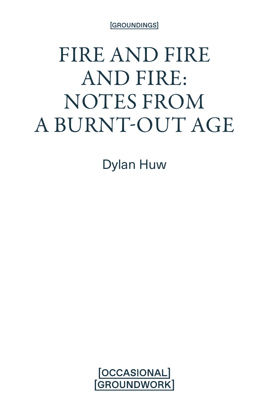[GROUNDINGS]

# FIRE AND FIRE AND FIRE: NOTES FROM A BURNT-OUT AGE

Dylan Huw

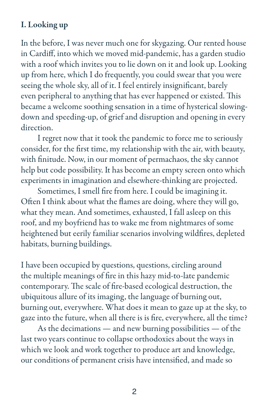## I. Looking up

In the before, I was never much one for skygazing. Our rented house in Cardiff, into which we moved mid-pandemic, has a garden studio with a roof which invites you to lie down on it and look up. Looking up from here, which I do frequently, you could swear that you were seeing the whole sky, all of it. I feel entirely insignificant, barely even peripheral to anything that has ever happened or existed. This became a welcome soothing sensation in a time of hysterical slowingdown and speeding-up, of grief and disruption and opening in every direction.

I regret now that it took the pandemic to force me to seriously consider, for the first time, my relationship with the air, with beauty, with finitude. Now, in our moment of permachaos, the sky cannot help but code possibility. It has become an empty screen onto which experiments in imagination and elsewhere-thinking are projected.

Sometimes, I smell fire from here. I could be imagining it. Often I think about what the flames are doing, where they will go, what they mean. And sometimes, exhausted, I fall asleep on this roof, and my boyfriend has to wake me from nightmares of some heightened but eerily familiar scenarios involving wildfires, depleted habitats, burning buildings.

I have been occupied by questions, questions, circling around the multiple meanings of fire in this hazy mid-to-late pandemic contemporary. The scale of fire-based ecological destruction, the ubiquitous allure of its imaging, the language of burning out, burning out, everywhere. What does it mean to gaze up at the sky, to gaze into the future, when all there is is fire, everywhere, all the time?

As the decimations — and new burning possibilities — of the last two years continue to collapse orthodoxies about the ways in which we look and work together to produce art and knowledge, our conditions of permanent crisis have intensified, and made so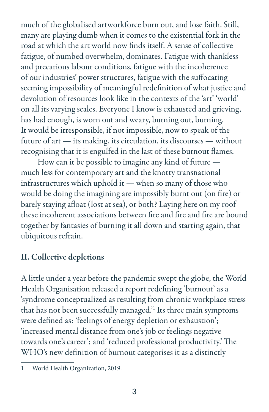much of the globalised artworkforce burn out, and lose faith. Still, many are playing dumb when it comes to the existential fork in the road at which the art world now finds itself. A sense of collective fatigue, of numbed overwhelm, dominates. Fatigue with thankless and precarious labour conditions, fatigue with the incoherence of our industries' power structures, fatigue with the suffocating seeming impossibility of meaningful redefinition of what justice and devolution of resources look like in the contexts of the 'art' 'world' on all its varying scales. Everyone I know is exhausted and grieving, has had enough, is worn out and weary, burning out, burning. It would be irresponsible, if not impossible, now to speak of the future of art — its making, its circulation, its discourses — without recognising that it is engulfed in the last of these burnout flames.

How can it be possible to imagine any kind of future much less for contemporary art and the knotty transnational infrastructures which uphold it — when so many of those who would be doing the imagining are impossibly burnt out (on fire) or barely staying afloat (lost at sea), or both? Laying here on my roof these incoherent associations between fire and fire and fire are bound together by fantasies of burning it all down and starting again, that ubiquitous refrain.

# II. Collective depletions

A little under a year before the pandemic swept the globe, the World Health Organisation released a report redefining 'burnout' as a 'syndrome conceptualized as resulting from chronic workplace stress that has not been successfully managed.'1 Its three main symptoms were defined as: 'feelings of energy depletion or exhaustion'; 'increased mental distance from one's job or feelings negative towards one's career'; and 'reduced professional productivity.' The WHO's new definition of burnout categorises it as a distinctly

<sup>1</sup> World Health Organization, 2019.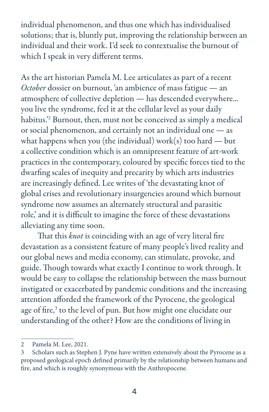individual phenomenon, and thus one which has individualised solutions; that is, bluntly put, improving the relationship between an individual and their work. I'd seek to contextualise the burnout of which I speak in very different terms.

As the art historian Pamela M. Lee articulates as part of a recent *October* dossier on burnout, 'an ambience of mass fatigue — an atmosphere of collective depletion — has descended everywhere... you live the syndrome, feel it at the cellular level as your daily habitus.'2 Burnout, then, must not be conceived as simply a medical or social phenomenon, and certainly not an individual one — as what happens when you (the individual) work(s) too hard  $-$  but a collective condition which is an omnipresent feature of art-work practices in the contemporary, coloured by specific forces tied to the dwarfing scales of inequity and precarity by which arts industries are increasingly defined. Lee writes of 'the devastating knot of global crises and revolutionary insurgencies around which burnout syndrome now assumes an alternately structural and parasitic role,' and it is difficult to imagine the force of these devastations alleviating any time soon.

That this *knot* is coinciding with an age of very literal fire devastation as a consistent feature of many people's lived reality and our global news and media economy, can stimulate, provoke, and guide. Though towards what exactly I continue to work through. It would be easy to collapse the relationship between the mass burnout instigated or exacerbated by pandemic conditions and the increasing attention afforded the framework of the Pyrocene, the geological age of fire,<sup>3</sup> to the level of pun. But how might one elucidate our understanding of the other? How are the conditions of living in

<sup>2</sup> Pamela M. Lee, 2021.

<sup>3</sup> Scholars such as Stephen J. Pyne have written extensively about the Pyrocene as a proposed geological epoch defined primarily by the relationship between humans and fire, and which is roughly synonymous with the Anthropocene.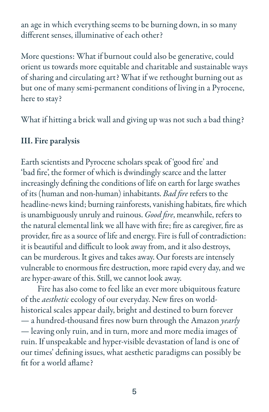an age in which everything seems to be burning down, in so many different senses, illuminative of each other?

More questions: What if burnout could also be generative, could orient us towards more equitable and charitable and sustainable ways of sharing and circulating art? What if we rethought burning out as but one of many semi-permanent conditions of living in a Pyrocene, here to stay?

What if hitting a brick wall and giving up was not such a bad thing?

### III. Fire paralysis

Earth scientists and Pyrocene scholars speak of 'good fire' and 'bad fire', the former of which is dwindingly scarce and the latter increasingly defining the conditions of life on earth for large swathes of its (human and non-human) inhabitants. *Bad fire* refers to the headline-news kind; burning rainforests, vanishing habitats, fire which is unambiguously unruly and ruinous. *Good fire*, meanwhile, refers to the natural elemental link we all have with fire; fire as caregiver, fire as provider, fire as a source of life and energy. Fire is full of contradiction: it is beautiful and difficult to look away from, and it also destroys, can be murderous. It gives and takes away. Our forests are intensely vulnerable to enormous fire destruction, more rapid every day, and we are hyper-aware of this. Still, we cannot look away.

Fire has also come to feel like an ever more ubiquitous feature of the *aesthetic* ecology of our everyday. New fires on worldhistorical scales appear daily, bright and destined to burn forever — a hundred-thousand fires now burn through the Amazon *yearly* — leaving only ruin, and in turn, more and more media images of ruin. If unspeakable and hyper-visible devastation of land is one of our times' defining issues, what aesthetic paradigms can possibly be fit for a world aflame?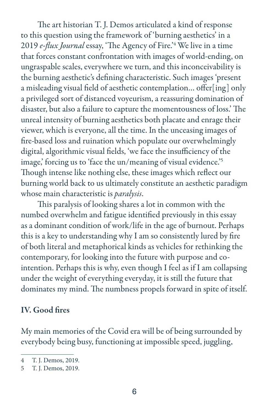The art historian T. J. Demos articulated a kind of response to this question using the framework of 'burning aesthetics' in a 2019 *e-flux Journal* essay, 'The Agency of Fire.'4 We live in a time that forces constant confrontation with images of world-ending, on ungraspable scales, everywhere we turn, and this inconceivability is the burning aesthetic's defining characteristic. Such images 'present a misleading visual field of aesthetic contemplation… offer[ing] only a privileged sort of distanced voyeurism, a reassuring domination of disaster, but also a failure to capture the momentousness of loss.' The unreal intensity of burning aesthetics both placate and enrage their viewer, which is everyone, all the time. In the unceasing images of fire-based loss and ruination which populate our overwhelmingly digital, algorithmic visual fields, 'we face the insufficiency of the image,' forcing us to 'face the un/meaning of visual evidence.'<sup>5</sup> Though intense like nothing else, these images which reflect our burning world back to us ultimately constitute an aesthetic paradigm whose main characteristic is *paralysis*.

This paralysis of looking shares a lot in common with the numbed overwhelm and fatigue identified previously in this essay as a dominant condition of work/life in the age of burnout. Perhaps this is a key to understanding why I am so consistently lured by fire of both literal and metaphorical kinds as vehicles for rethinking the contemporary, for looking into the future with purpose and cointention. Perhaps this is why, even though I feel as if I am collapsing under the weight of everything everyday, it is still the future that dominates my mind. The numbness propels forward in spite of itself.

#### IV. Good fires

My main memories of the Covid era will be of being surrounded by everybody being busy, functioning at impossible speed, juggling,

<sup>4</sup> T. J. Demos, 2019.

<sup>5</sup> T. J. Demos, 2019.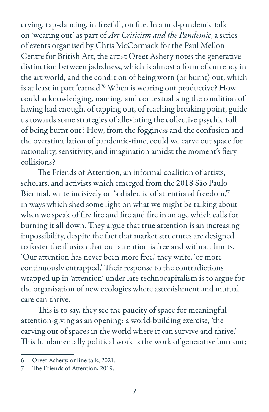crying, tap-dancing, in freefall, on fire. In a mid-pandemic talk on 'wearing out' as part of *Art Criticism and the Pandemic*, a series of events organised by Chris McCormack for the Paul Mellon Centre for British Art, the artist Oreet Ashery notes the generative distinction between jadedness, which is almost a form of currency in the art world, and the condition of being worn (or burnt) out, which is at least in part 'earned.'6 When is wearing out productive? How could acknowledging, naming, and contextualising the condition of having had enough, of tapping out, of reaching breaking point, guide us towards some strategies of alleviating the collective psychic toll of being burnt out? How, from the fogginess and the confusion and the overstimulation of pandemic-time, could we carve out space for rationality, sensitivity, and imagination amidst the moment's fiery collisions?

The Friends of Attention, an informal coalition of artists, scholars, and activists which emerged from the 2018 São Paulo Biennial, write incisively on 'a dialectic of attentional freedom,'7 in ways which shed some light on what we might be talking about when we speak of fire fire and fire and fire in an age which calls for burning it all down. They argue that true attention is an increasing impossibility, despite the fact that market structures are designed to foster the illusion that our attention is free and without limits. 'Our attention has never been more free,' they write, 'or more continuously entrapped.' Their response to the contradictions wrapped up in 'attention' under late technocapitalism is to argue for the organisation of new ecologies where astonishment and mutual care can thrive.

This is to say, they see the paucity of space for meaningful attention-giving as an opening: a world-building exercise, 'the carving out of spaces in the world where it can survive and thrive.' This fundamentally political work is the work of generative burnout;

<sup>6</sup> Oreet Ashery, online talk, 2021.

<sup>7</sup> The Friends of Attention, 2019.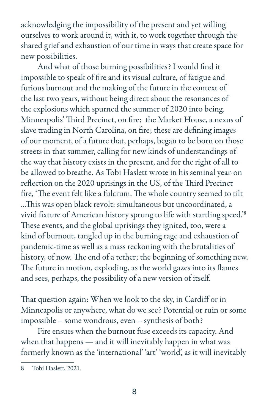acknowledging the impossibility of the present and yet willing ourselves to work around it, with it, to work together through the shared grief and exhaustion of our time in ways that create space for new possibilities.

And what of those burning possibilities? I would find it impossible to speak of fire and its visual culture, of fatigue and furious burnout and the making of the future in the context of the last two years, without being direct about the resonances of the explosions which spurned the summer of 2020 into being. Minneapolis' Third Precinct, on fire; the Market House, a nexus of slave trading in North Carolina, on fire; these are defining images of our moment, of a future that, perhaps, began to be born on those streets in that summer, calling for new kinds of understandings of the way that history exists in the present, and for the right of all to be allowed to breathe. As Tobi Haslett wrote in his seminal year-on reflection on the 2020 uprisings in the US, of the Third Precinct fire, 'The event felt like a fulcrum. The whole country seemed to tilt ...This was open black revolt: simultaneous but uncoordinated, a vivid fixture of American history sprung to life with startling speed.'8 These events, and the global uprisings they ignited, too, were a kind of burnout, tangled up in the burning rage and exhaustion of pandemic-time as well as a mass reckoning with the brutalities of history, of now. The end of a tether; the beginning of something new. The future in motion, exploding, as the world gazes into its flames and sees, perhaps, the possibility of a new version of itself.

That question again: When we look to the sky, in Cardiff or in Minneapolis or anywhere, what do we see? Potential or ruin or some impossible – some wondrous, even – synthesis of both?

Fire ensues when the burnout fuse exceeds its capacity. And when that happens — and it will inevitably happen in what was formerly known as the 'international' 'art' 'world', as it will inevitably

<sup>8</sup> Tobi Haslett, 2021.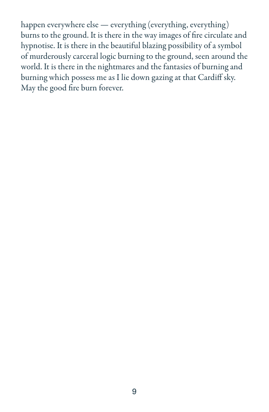happen everywhere else — everything (everything, everything) burns to the ground. It is there in the way images of fire circulate and hypnotise. It is there in the beautiful blazing possibility of a symbol of murderously carceral logic burning to the ground, seen around the world. It is there in the nightmares and the fantasies of burning and burning which possess me as I lie down gazing at that Cardiff sky. May the good fire burn forever.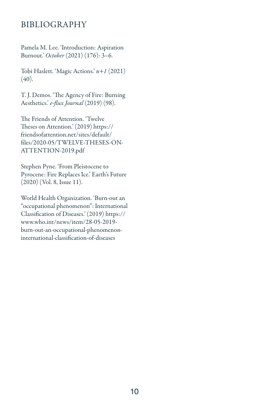#### BIBLIOGRAPHY

Pamela M. Lee. 'Introduction: Aspiration Burnout.' *October* (2021) (176): 3–6.

Tobi Haslett. 'Magic Actions.' *n+1* (2021) (40).

T. J. Demos. 'The Agency of Fire: Burning Aesthetics.' *e-flux Journal* (2019) (98).

The Friends of Attention. 'Twelve Theses on Attention.' (2019) https:// friendsofattention.net/sites/default/ files/2020-05/TWELVE-THESES-ON-ATTENTION-2019.pdf

Stephen Pyne. 'From Pleistocene to Pyrocene: Fire Replaces Ice.' Earth's Future (2020) (Vol. 8, Issue 11).

World Health Organization. 'Burn-out an "occupational phenomenon": International Classification of Diseases.' (2019) https:// www.who.int/news/item/28-05-2019 burn-out-an-occupational-phenomenoninternational-classification-of-diseases